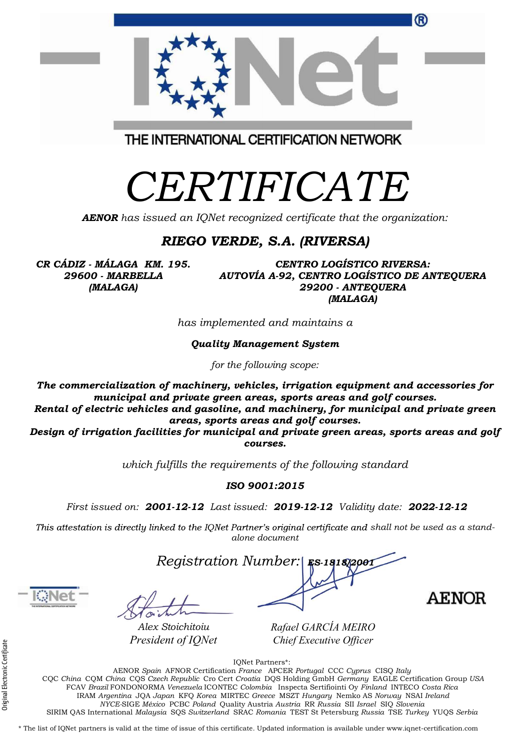| The commercialization of machinery, vehicles, irrigation equipment and accessories for<br>municipal and private green areas, sports areas and golf courses.<br>Rental of electric vehicles and gasoline, and machinery, for municipal and private green<br>areas, sports areas and golf courses.<br>Design of irrigation facilities for municipal and private green areas, sports areas and golf<br>courses. |  |
|--------------------------------------------------------------------------------------------------------------------------------------------------------------------------------------------------------------------------------------------------------------------------------------------------------------------------------------------------------------------------------------------------------------|--|
| which fulfills the requirements of the following standard                                                                                                                                                                                                                                                                                                                                                    |  |
| ISO 9001:2015                                                                                                                                                                                                                                                                                                                                                                                                |  |
| First issued on: 2001-12-12 Last issued: 2019-12-12 Validity date: 2022-12-12                                                                                                                                                                                                                                                                                                                                |  |
| This attestation is directly linked to the IQNet Partner's original certificate and shall not be used as a stand-<br>alone document                                                                                                                                                                                                                                                                          |  |

CERTIFICATE

THE INTERNATIONAL CERTIFICATION NETWORK

AENOR has issued an IQNet recognized certificate that the organization:

## RIEGO VERDE, S.A. (RIVERSA)

CR CÁDIZ - MÁLAGA KM. 195. 29600 - MARBELLA (MALAGA)

CENTRO LOGÍSTICO RIVERSA: AUTOVÍA A-92, CENTRO LOGÍSTICO DE ANTEQUERA 29200 - ANTEQUERA (MALAGA)

®

has implemented and maintains a

Quality Management System

for the following scope:



**AENOR** 

Rafael GARCÍA MEIRO Chief Executive Officer

IQNet Partners\*:

President of IQNet<br>
Figure 2013<br>
Electronic COC China CQM China CQS Czech Republic Cro<br>
FCAV Brazil FONDONORMA Venezuela ICOI<br>
IRAM Argentina JQA Japan KFQ Korea<br>
NYCE-SIGE México PCBC Poland<br>
PICE-SIGE México PCBC Poland AENOR Spain AFNOR Certification France APCER Portugal CCC Cyprus CISQ Italy CQC China CQM China CQS Czech Republic Cro Cert Croatia DQS Holding GmbH Germany EAGLE Certification Group USA FCAV Brazil FONDONORMA Venezuela ICONTEC Colombia Inspecta Sertifiointi Oy Finland INTECO Costa Rica IRAM Argentina JQA Japan KFQ Korea MIRTEC Greece MSZT Hungary Nemko AS Norway NSAI Ireland NYCE-SIGE México PCBC Poland Quality Austria Austria RR Russia SII Israel SIQ Slovenia SIRIM QAS International Malaysia SQS Switzerland SRAC Romania TEST St Petersburg Russia TSE Turkey YUQS Serbia

\* The list of IQNet partners is valid at the time of issue of this certificate. Updated information is available under www.iqnet-certification.com



Alex Stoichitoiu